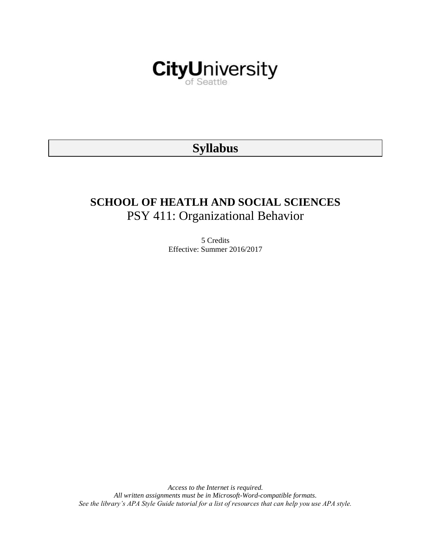

# **Syllabus**

# **SCHOOL OF HEATLH AND SOCIAL SCIENCES** PSY 411: Organizational Behavior

5 Credits Effective: Summer 2016/2017

*Access to the Internet is required. All written assignments must be in Microsoft-Word-compatible formats. See the library's APA Style Guide tutorial for a list of resources that can help you use APA style.*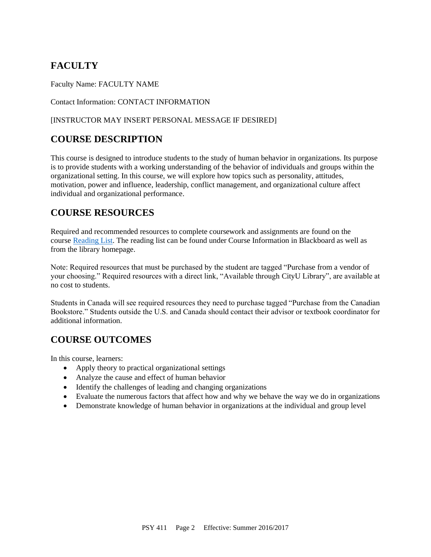# **FACULTY**

Faculty Name: FACULTY NAME

Contact Information: CONTACT INFORMATION

### [INSTRUCTOR MAY INSERT PERSONAL MESSAGE IF DESIRED]

# **COURSE DESCRIPTION**

This course is designed to introduce students to the study of human behavior in organizations. Its purpose is to provide students with a working understanding of the behavior of individuals and groups within the organizational setting. In this course, we will explore how topics such as personality, attitudes, motivation, power and influence, leadership, conflict management, and organizational culture affect individual and organizational performance.

## **COURSE RESOURCES**

Required and recommended resources to complete coursework and assignments are found on the course [Reading List.](https://nam03.safelinks.protection.outlook.com/?url=https%3A%2F%2Fcityu.alma.exlibrisgroup.com%2Fleganto%2Flogin%3Fauth%3DSAML&data=04%7C01%7CMMara%40cityu.edu%7C70673ce0fe0144040eda08d87472e204%7Cb3fa96d9f5154662add763d854e39e63%7C1%7C0%7C637387384066198115%7CUnknown%7CTWFpbGZsb3d8eyJWIjoiMC4wLjAwMDAiLCJQIjoiV2luMzIiLCJBTiI6Ik1haWwiLCJXVCI6Mn0%3D%7C1000&sdata=JbwP%2Fm5Q%2BMgIUWa%2FXceos%2BoiLv0DX%2B%2FL%2BNGNMbX9P8E%3D&reserved=0) The reading list can be found under Course Information in Blackboard as well as from the library homepage.

Note: Required resources that must be purchased by the student are tagged "Purchase from a vendor of your choosing." Required resources with a direct link, "Available through CityU Library", are available at no cost to students.

Students in Canada will see required resources they need to purchase tagged "Purchase from the Canadian Bookstore." Students outside the U.S. and Canada should contact their advisor or textbook coordinator for additional information.

# **COURSE OUTCOMES**

In this course, learners:

- Apply theory to practical organizational settings
- Analyze the cause and effect of human behavior
- Identify the challenges of leading and changing organizations
- Evaluate the numerous factors that affect how and why we behave the way we do in organizations
- Demonstrate knowledge of human behavior in organizations at the individual and group level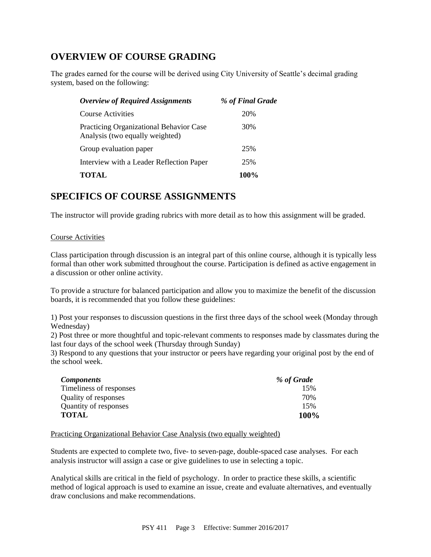### **OVERVIEW OF COURSE GRADING**

The grades earned for the course will be derived using City University of Seattle's decimal grading system, based on the following:

| <b>Overview of Required Assignments</b>                                    | % of Final Grade |
|----------------------------------------------------------------------------|------------------|
| Course Activities                                                          | 20%              |
| Practicing Organizational Behavior Case<br>Analysis (two equally weighted) | 30%              |
| Group evaluation paper                                                     | 25%              |
| Interview with a Leader Reflection Paper                                   | 25%              |
| <b>TOTAL</b>                                                               | 100%             |

### **SPECIFICS OF COURSE ASSIGNMENTS**

The instructor will provide grading rubrics with more detail as to how this assignment will be graded.

### Course Activities

Class participation through discussion is an integral part of this online course, although it is typically less formal than other work submitted throughout the course. Participation is defined as active engagement in a discussion or other online activity.

To provide a structure for balanced participation and allow you to maximize the benefit of the discussion boards, it is recommended that you follow these guidelines:

1) Post your responses to discussion questions in the first three days of the school week (Monday through Wednesday)

2) Post three or more thoughtful and topic-relevant comments to responses made by classmates during the last four days of the school week (Thursday through Sunday)

3) Respond to any questions that your instructor or peers have regarding your original post by the end of the school week.

| Components              | % of Grade  |
|-------------------------|-------------|
| Timeliness of responses | 15%         |
| Quality of responses    | 70%         |
| Quantity of responses   | 15%         |
| TOTAL                   | <b>100%</b> |

### Practicing Organizational Behavior Case Analysis (two equally weighted)

Students are expected to complete two, five- to seven-page, double-spaced case analyses. For each analysis instructor will assign a case or give guidelines to use in selecting a topic.

Analytical skills are critical in the field of psychology. In order to practice these skills, a scientific method of logical approach is used to examine an issue, create and evaluate alternatives, and eventually draw conclusions and make recommendations.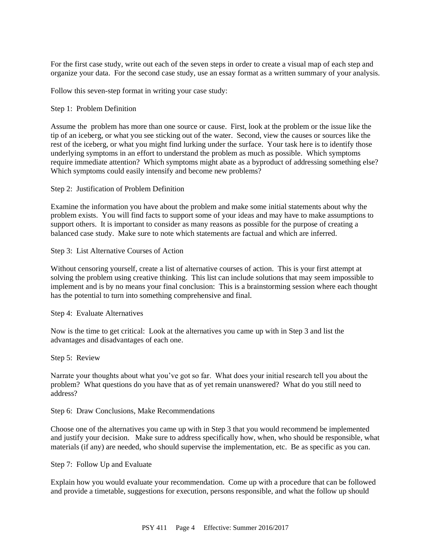For the first case study, write out each of the seven steps in order to create a visual map of each step and organize your data. For the second case study, use an essay format as a written summary of your analysis.

Follow this seven-step format in writing your case study:

### Step 1: Problem Definition

Assume the problem has more than one source or cause. First, look at the problem or the issue like the tip of an iceberg, or what you see sticking out of the water. Second, view the causes or sources like the rest of the iceberg, or what you might find lurking under the surface. Your task here is to identify those underlying symptoms in an effort to understand the problem as much as possible. Which symptoms require immediate attention? Which symptoms might abate as a byproduct of addressing something else? Which symptoms could easily intensify and become new problems?

Step 2: Justification of Problem Definition

Examine the information you have about the problem and make some initial statements about why the problem exists. You will find facts to support some of your ideas and may have to make assumptions to support others. It is important to consider as many reasons as possible for the purpose of creating a balanced case study. Make sure to note which statements are factual and which are inferred.

### Step 3: List Alternative Courses of Action

Without censoring yourself, create a list of alternative courses of action. This is your first attempt at solving the problem using creative thinking. This list can include solutions that may seem impossible to implement and is by no means your final conclusion: This is a brainstorming session where each thought has the potential to turn into something comprehensive and final.

Step 4: Evaluate Alternatives

Now is the time to get critical: Look at the alternatives you came up with in Step 3 and list the advantages and disadvantages of each one.

### Step 5: Review

Narrate your thoughts about what you've got so far. What does your initial research tell you about the problem? What questions do you have that as of yet remain unanswered? What do you still need to address?

### Step 6: Draw Conclusions, Make Recommendations

Choose one of the alternatives you came up with in Step 3 that you would recommend be implemented and justify your decision. Make sure to address specifically how, when, who should be responsible, what materials (if any) are needed, who should supervise the implementation, etc. Be as specific as you can.

### Step 7: Follow Up and Evaluate

Explain how you would evaluate your recommendation. Come up with a procedure that can be followed and provide a timetable, suggestions for execution, persons responsible, and what the follow up should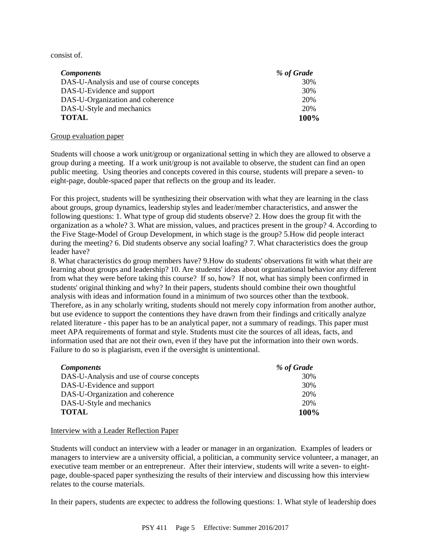consist of.

| <i>Components</i>                         | % of Grade |
|-------------------------------------------|------------|
| DAS-U-Analysis and use of course concepts | 30%        |
| DAS-U-Evidence and support                | 30%        |
| DAS-U-Organization and coherence          | 20%        |
| DAS-U-Style and mechanics                 | 20%        |
| <b>TOTAL</b>                              | 100%       |

### Group evaluation paper

Students will choose a work unit/group or organizational setting in which they are allowed to observe a group during a meeting. If a work unit/group is not available to observe, the student can find an open public meeting. Using theories and concepts covered in this course, students will prepare a seven- to eight-page, double-spaced paper that reflects on the group and its leader.

For this project, students will be synthesizing their observation with what they are learning in the class about groups, group dynamics, leadership styles and leader/member characteristics, and answer the following questions: 1. What type of group did students observe? 2. How does the group fit with the organization as a whole? 3. What are mission, values, and practices present in the group? 4. According to the Five Stage-Model of Group Development, in which stage is the group? 5.How did people interact during the meeting? 6. Did students observe any social loafing? 7. What characteristics does the group leader have?

8. What characteristics do group members have? 9.How do students' observations fit with what their are learning about groups and leadership? 10. Are students' ideas about organizational behavior any different from what they were before taking this course? If so, how? If not, what has simply been confirmed in students' original thinking and why? In their papers, students should combine their own thoughtful analysis with ideas and information found in a minimum of two sources other than the textbook. Therefore, as in any scholarly writing, students should not merely copy information from another author, but use evidence to support the contentions they have drawn from their findings and critically analyze related literature - this paper has to be an analytical paper, not a summary of readings. This paper must meet APA requirements of format and style. Students must cite the sources of all ideas, facts, and information used that are not their own, even if they have put the information into their own words. Failure to do so is plagiarism, even if the oversight is unintentional.

| <i>Components</i>                         | % of Grade |
|-------------------------------------------|------------|
| DAS-U-Analysis and use of course concepts | 30%        |
| DAS-U-Evidence and support                | 30%        |
| DAS-U-Organization and coherence          | 20%        |
| DAS-U-Style and mechanics                 | 20%        |
| <b>TOTAL</b>                              | 100%       |

### Interview with a Leader Reflection Paper

Students will conduct an interview with a leader or manager in an organization. Examples of leaders or managers to interview are a university official, a politician, a community service volunteer, a manager, an executive team member or an entrepreneur. After their interview, students will write a seven- to eightpage, double-spaced paper synthesizing the results of their interview and discussing how this interview relates to the course materials.

In their papers, students are expectec to address the following questions: 1. What style of leadership does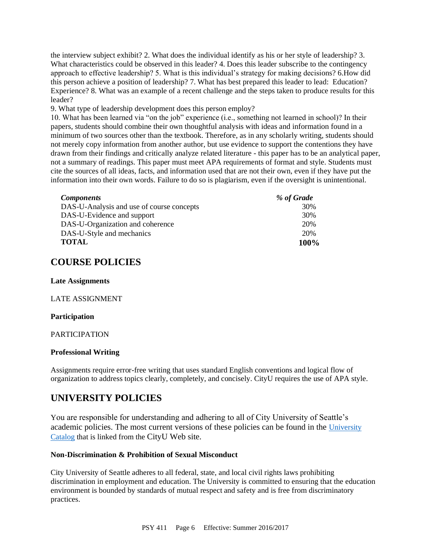the interview subject exhibit? 2. What does the individual identify as his or her style of leadership? 3. What characteristics could be observed in this leader? 4. Does this leader subscribe to the contingency approach to effective leadership? 5. What is this individual's strategy for making decisions? 6.How did this person achieve a position of leadership? 7. What has best prepared this leader to lead: Education? Experience? 8. What was an example of a recent challenge and the steps taken to produce results for this leader?

9. What type of leadership development does this person employ?

10. What has been learned via "on the job" experience (i.e., something not learned in school)? In their papers, students should combine their own thoughtful analysis with ideas and information found in a minimum of two sources other than the textbook. Therefore, as in any scholarly writing, students should not merely copy information from another author, but use evidence to support the contentions they have drawn from their findings and critically analyze related literature - this paper has to be an analytical paper, not a summary of readings. This paper must meet APA requirements of format and style. Students must cite the sources of all ideas, facts, and information used that are not their own, even if they have put the information into their own words. Failure to do so is plagiarism, even if the oversight is unintentional.

| <b>Components</b>                         | % of Grade |
|-------------------------------------------|------------|
| DAS-U-Analysis and use of course concepts | 30%        |
| DAS-U-Evidence and support                | 30%        |
| DAS-U-Organization and coherence          | 20%        |
| DAS-U-Style and mechanics                 | 20%        |
| <b>TOTAL</b>                              | 100%       |

### **COURSE POLICIES**

### **Late Assignments**

### LATE ASSIGNMENT

### **Participation**

### PARTICIPATION

### **Professional Writing**

Assignments require error-free writing that uses standard English conventions and logical flow of organization to address topics clearly, completely, and concisely. CityU requires the use of APA style.

### **UNIVERSITY POLICIES**

You are responsible for understanding and adhering to all of City University of Seattle's academic policies. The most current versions of these policies can be found in the [University](https://www.cityu.edu/catalog/)  [Catalog](https://www.cityu.edu/catalog/) that is linked from the CityU Web site.

### **Non-Discrimination & Prohibition of Sexual Misconduct**

City University of Seattle adheres to all federal, state, and local civil rights laws prohibiting discrimination in employment and education. The University is committed to ensuring that the education environment is bounded by standards of mutual respect and safety and is free from discriminatory practices.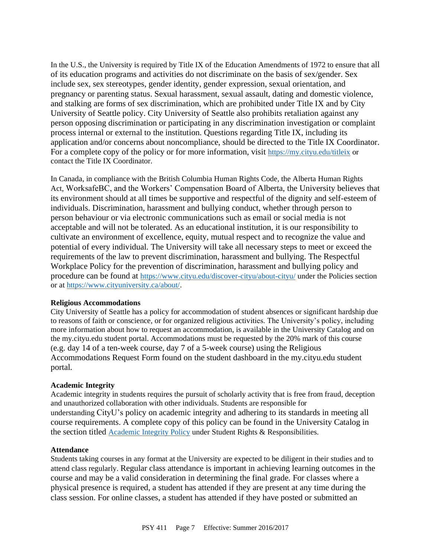In the U.S., the University is required by Title IX of the Education Amendments of 1972 to ensure that all of its education programs and activities do not discriminate on the basis of sex/gender. Sex include sex, sex stereotypes, gender identity, gender expression, sexual orientation, and pregnancy or parenting status. Sexual harassment, sexual assault, dating and domestic violence, and stalking are forms of sex discrimination, which are prohibited under Title IX and by City University of Seattle policy. City University of Seattle also prohibits retaliation against any person opposing discrimination or participating in any discrimination investigation or complaint process internal or external to the institution. Questions regarding Title IX, including its application and/or concerns about noncompliance, should be directed to the Title IX Coordinator. For a complete copy of the policy or for more information, visit <https://my.cityu.edu/titleix> or contact the Title IX Coordinator.

In Canada, in compliance with the British Columbia Human Rights Code, the Alberta Human Rights Act, WorksafeBC, and the Workers' Compensation Board of Alberta, the University believes that its environment should at all times be supportive and respectful of the dignity and self-esteem of individuals. Discrimination, harassment and bullying conduct, whether through person to person behaviour or via electronic communications such as email or social media is not acceptable and will not be tolerated. As an educational institution, it is our responsibility to cultivate an environment of excellence, equity, mutual respect and to recognize the value and potential of every individual. The University will take all necessary steps to meet or exceed the requirements of the law to prevent discrimination, harassment and bullying. The Respectful Workplace Policy for the prevention of discrimination, harassment and bullying policy and procedure can be found at <https://www.cityu.edu/discover-cityu/about-cityu/> under the Policies section or at <https://www.cityuniversity.ca/about/>.

### **Religious Accommodations**

City University of Seattle has a policy for accommodation of student absences or significant hardship due to reasons of faith or conscience, or for organized religious activities. The University's policy, including more information about how to request an accommodation, is available in the University Catalog and on the my.cityu.edu student portal. Accommodations must be requested by the 20% mark of this course (e.g. day 14 of a ten-week course, day 7 of a 5-week course) using the Religious Accommodations Request Form found on the student dashboard in the my.cityu.edu student portal.

### **Academic Integrity**

Academic integrity in students requires the pursuit of scholarly activity that is free from fraud, deception and unauthorized collaboration with other individuals. Students are responsible for understanding CityU's policy on academic integrity and adhering to its standards in meeting all course requirements. A complete copy of this policy can be found in the University Catalog in the section titled [Academic Integrity Policy](https://www.cityu.edu/catalog/;) under Student Rights & Responsibilities.

### **Attendance**

Students taking courses in any format at the University are expected to be diligent in their studies and to attend class regularly. Regular class attendance is important in achieving learning outcomes in the course and may be a valid consideration in determining the final grade. For classes where a physical presence is required, a student has attended if they are present at any time during the class session. For online classes, a student has attended if they have posted or submitted an